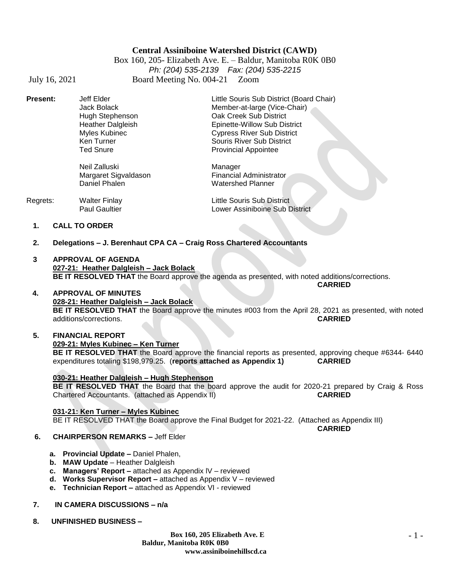# **Central Assiniboine Watershed District (CAWD)**

Box 160, 205- Elizabeth Ave. E. – Baldur, Manitoba R0K 0B0 *Ph: (204) 535-2139 Fax: (204) 535-2215* July 16, 2021 Board Meeting No. 004-21 Zoom

Hugh Stephenson **Cak Creek Sub District**<br>
Heather Dalgleish **Case Contract Contract Contract Contract Contract Contract Contract Contract Contract Contr** Ted Snure **Provincial Appointee** 

Neil Zalluski Margaret Sigvaldason Daniel Phalen

**Present:** Jeff Elder **Little Souris Sub District (Board Chair)** Jack Bolack Member-at-large (Vice-Chair) Heather Dalgleish Epinette-Willow Sub District<br>
Myles Kubinec Cypress River Sub District Myles Kubinec Cypress River Sub District Souris River Sub District

| Regrets: | Walter Finlay        | Little Souris Sub District     |
|----------|----------------------|--------------------------------|
|          | <b>Paul Gaultier</b> | Lower Assiniboine Sub District |

- **1. CALL TO ORDER**
- **2. Delegations – J. Berenhaut CPA CA – Craig Ross Chartered Accountants**
- **3 APPROVAL OF AGENDA 027-21: Heather Dalgleish – Jack Bolack BE IT RESOLVED THAT** the Board approve the agenda as presented, with noted additions/corrections. **CARRIED**

## **4. APPROVAL OF MINUTES 028-21: Heather Dalgleish – Jack Bolack BE IT RESOLVED THAT** the Board approve the minutes #003 from the April 28, 2021 as presented, with noted additions/corrections. **CARRIED**

## **5. FINANCIAL REPORT 029-21: Myles Kubinec – Ken Turner BE IT RESOLVED THAT** the Board approve the financial reports as presented, approving cheque #6344- 6440 expenditures totaling \$198,979.25. (**reports attached as Appendix 1) CARRIED**

## **030-21: Heather Dalgleish – Hugh Stephenson**

**BE IT RESOLVED THAT** the Board that the board approve the audit for 2020-21 prepared by Craig & Ross Chartered Accountants. (attached as Appendix II) **CARRIED**

## **031-21: Ken Turner – Myles Kubinec**

BE IT RESOLVED THAT the Board approve the Final Budget for 2021-22. (Attached as Appendix III)

**CARRIED**

## **6. CHAIRPERSON REMARKS –** Jeff Elder

- **a. Provincial Update –** Daniel Phalen,
- **b. MAW Update**  Heather Dalgleish
- **c. Managers' Report –** attached as Appendix lV reviewed
- **d. Works Supervisor Report –** attached as Appendix V reviewed
- **e. Technician Report –** attached as Appendix VI reviewed
- **7. IN CAMERA DISCUSSIONS – n/a**
- **8. UNFINISHED BUSINESS –**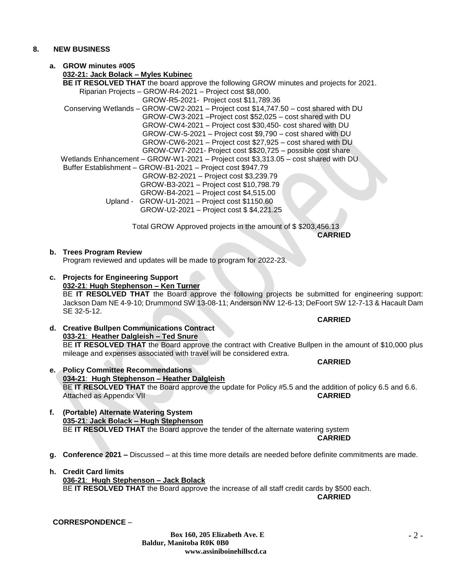## **8. NEW BUSINESS**

# **a. GROW minutes #005**

**032-21: Jack Bolack – Myles Kubinec BE IT RESOLVED THAT** the board approve the following GROW minutes and projects for 2021. Riparian Projects – GROW-R4-2021 – Project cost \$8,000. GROW-R5-2021- Project cost \$11,789.36 Conserving Wetlands – GROW-CW2-2021 – Project cost \$14,747.50 – cost shared with DU GROW-CW3-2021 –Project cost \$52,025 – cost shared with DU GROW-CW4-2021 – Project cost \$30,450- cost shared with DU GROW-CW-5-2021 – Project cost \$9,790 – cost shared with DU GROW-CW6-2021 – Project cost \$27,925 – cost shared with DU GROW-CW7-2021- Project cost \$\$20,725 – possible cost share Wetlands Enhancement – GROW-W1-2021 – Project cost \$3,313.05 – cost shared with DU Buffer Establishment – GROW-B1-2021 – Project cost \$947.79 GROW-B2-2021 – Project cost \$3,239.79 GROW-B3-2021 – Project cost \$10,798.79 GROW-B4-2021 – Project cost \$4,515.00 Upland - GROW-U1-2021 – Project cost \$1150.60 GROW-U2-2021 – Project cost \$ \$4,221.25

> Total GROW Approved projects in the amount of \$ \$203,456.13 **CARRIED**

## **b. Trees Program Review**

Program reviewed and updates will be made to program for 2022-23.

- **c. Projects for Engineering Support 032-21**: **Hugh Stephenson – Ken Turner** BE **IT RESOLVED THAT** the Board approve the following projects be submitted for engineering support: Jackson Dam NE 4-9-10; Drummond SW 13-08-11; Anderson NW 12-6-13; DeFoort SW 12-7-13 & Hacault Dam SE 32-5-12.
- **d. Creative Bullpen Communications Contract 033-21**: **Heather Dalgleish – Ted Snure** BE **IT RESOLVED THAT** the Board approve the contract with Creative Bullpen in the amount of \$10,000 plus mileage and expenses associated with travel will be considered extra.
- **e. Policy Committee Recommendations 034-21**: **Hugh Stephenson – Heather Dalgleish** BE **IT RESOLVED THAT** the Board approve the update for Policy #5.5 and the addition of policy 6.5 and 6.6. Attached as Appendix VII **CARRIED**
- **f. (Portable) Alternate Watering System 035-21**: **Jack Bolack – Hugh Stephenson** BE **IT RESOLVED THAT** the Board approve the tender of the alternate watering system
- **g. Conference 2021 –** Discussed at this time more details are needed before definite commitments are made.
- **h. Credit Card limits 036-21**: **Hugh Stephenson – Jack Bolack** BE **IT RESOLVED THAT** the Board approve the increase of all staff credit cards by \$500 each. **CARRIED**

**CORRESPONDENCE** –

**CARRIED**

## **CARRIED**

**CARRIED**